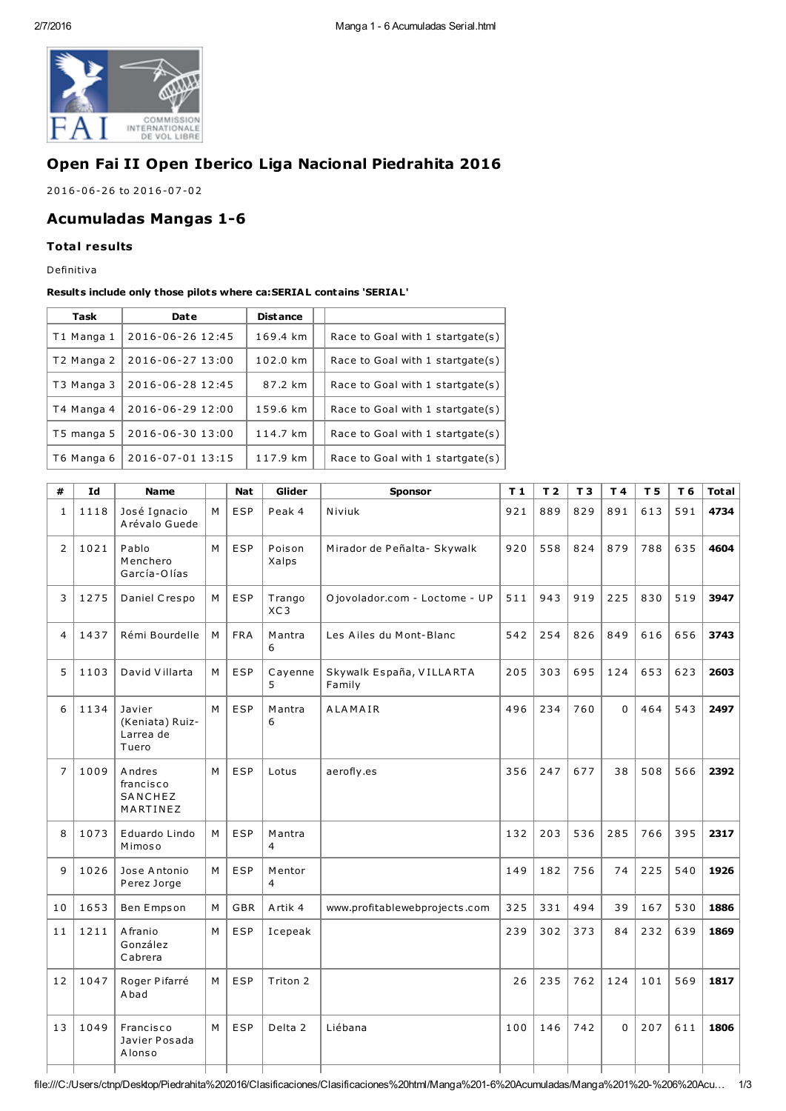

# Open Fai II Open Iberico Liga Nacional Piedrahita 2016

2016-06-26 to 2016-07-02

## **Acumuladas Mangas 1-6**

### **Total results**

Definitiva

#### Results include only those pilots where ca: SERIAL contains 'SERIAL'

| Task       | Date             | <b>Distance</b> |                                  |
|------------|------------------|-----------------|----------------------------------|
| T1 Manga 1 | 2016-06-26 12:45 | 169.4 km        | Race to Goal with 1 startgate(s) |
| T2 Manga 2 | 2016-06-27 13:00 | 102.0 km        | Race to Goal with 1 startgate(s) |
| T3 Manga 3 | 2016-06-28 12:45 | 87.2 km         | Race to Goal with 1 startgate(s) |
| T4 Manga 4 | 2016-06-29 12:00 | 159.6 km        | Race to Goal with 1 startgate(s) |
| T5 manga 5 | 2016-06-30 13:00 | 114.7 km        | Race to Goal with 1 startgate(s) |
| T6 Manga 6 | 2016-07-01 13:15 | 117.9 km        | Race to Goal with 1 startgate(s) |

| #              | Id   | <b>Name</b>                                     |   | <b>Nat</b> | Glider          | <b>Sponsor</b>                     | T <sub>1</sub> | T <sub>2</sub> | T <sub>3</sub> | T4  | T <sub>5</sub> | T 6 | <b>Total</b> |
|----------------|------|-------------------------------------------------|---|------------|-----------------|------------------------------------|----------------|----------------|----------------|-----|----------------|-----|--------------|
| 1              | 1118 | José Ignacio<br>Arévalo Guede                   | M | <b>ESP</b> | Peak 4          | Niviuk                             | 921            | 889            | 829            | 891 | 613            | 591 | 4734         |
| $\overline{2}$ | 1021 | Pablo<br>Menchero<br>García-Olías               | M | ESP        | Poison<br>Xalps | Mirador de Peñalta- Skywalk        | 920            | 558            | 824            | 879 | 788            | 635 | 4604         |
| 3              | 1275 | Daniel Crespo                                   | M | <b>ESP</b> | Trango<br>XC3   | O jovolador.com - Loctome - UP     | 511            | 943            | 919            | 225 | 830            | 519 | 3947         |
| 4              | 1437 | Rémi Bourdelle                                  | M | <b>FRA</b> | Mantra<br>6     | Les Ailes du Mont-Blanc            | 542            | 254            | 826            | 849 | 616            | 656 | 3743         |
| 5              | 1103 | David Villarta                                  | M | ESP        | Cayenne<br>5    | Skywalk España, VILLARTA<br>Family | 205            | 303            | 695            | 124 | 653            | 623 | 2603         |
| 6              | 1134 | Javier<br>(Keniata) Ruiz-<br>Larrea de<br>Tuero | M | ESP        | Mantra<br>6     | ALAMAIR                            | 496            | 234            | 760            | 0   | 464            | 543 | 2497         |
| 7              | 1009 | Andres<br>francisco<br>SANCHEZ<br>MARTINEZ      | M | <b>ESP</b> | Lotus           | aerofly.es                         | 356            | 247            | 677            | 38  | 508            | 566 | 2392         |
| 8              | 1073 | Eduardo Lindo<br>Mimoso                         | M | ESP        | M antra<br>4    |                                    | 132            | 203            | 536            | 285 | 766            | 395 | 2317         |
| 9              | 1026 | Jose Antonio<br>Perez Jorge                     | M | ESP        | Mentor<br>4     |                                    | 149            | 182            | 756            | 74  | 225            | 540 | 1926         |
| 10             | 1653 | Ben Empson                                      | M | <b>GBR</b> | Artik 4         | www.profitablewebprojects.com      | 325            | 331            | 494            | 39  | 167            | 530 | 1886         |
| 11             | 1211 | A franio<br>González<br>Cabrera                 | M | ESP        | Icepeak         |                                    | 239            | 302            | 373            | 84  | 232            | 639 | 1869         |
| 12             | 1047 | Roger Pifarré<br>A bad                          | M | ESP        | Triton 2        |                                    | 26             | 235            | 762            | 124 | 101            | 569 | 1817         |
| 13             | 1049 | Francisco<br>Javier Posada<br>Alonso            | M | <b>ESP</b> | Delta 2         | Liébana                            | 100            | 146            | 742            | 0   | 207            | 611 | 1806         |
|                |      |                                                 |   |            |                 |                                    |                |                |                |     |                |     |              |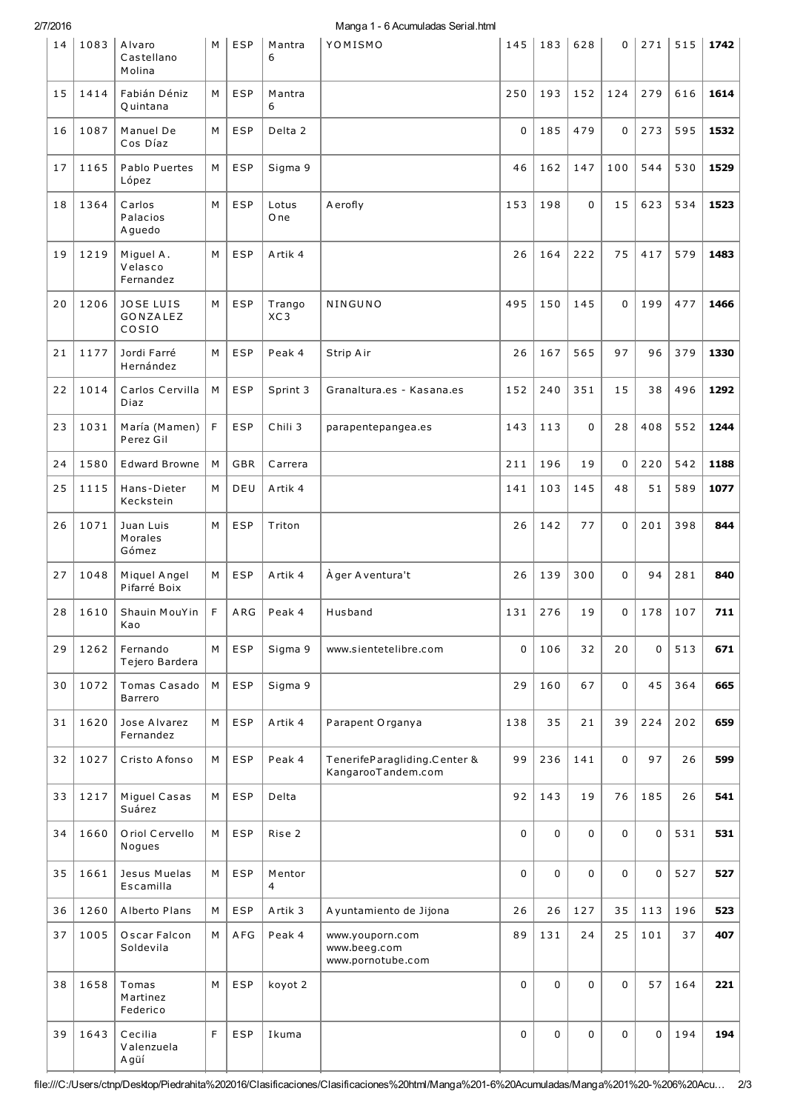2/7/2016

| 14 | 1083 | Alvaro<br>Castellano<br>Molina        | M | <b>ESP</b> | Mantra<br>6   | YOMISMO                                              | 145         | 183         | 628         | 0           | 271         | 515 | 1742 |
|----|------|---------------------------------------|---|------------|---------------|------------------------------------------------------|-------------|-------------|-------------|-------------|-------------|-----|------|
| 15 | 1414 | Fabián Déniz<br>Quintana              | M | <b>ESP</b> | Mantra<br>6   |                                                      | 250         | 193         | 152         | 124         | 279         | 616 | 1614 |
| 16 | 1087 | Manuel De<br>Cos Díaz                 | M | <b>ESP</b> | Delta 2       |                                                      | $\mathbf 0$ | 185         | 479         | $\mathbf 0$ | 273         | 595 | 1532 |
| 17 | 1165 | Pablo Puertes<br>López                | M | <b>ESP</b> | Sigma 9       |                                                      | 46          | 162         | 147         | 100         | 544         | 530 | 1529 |
| 18 | 1364 | Carlos<br>Palacios<br>A guedo         | M | <b>ESP</b> | Lotus<br>O ne | A erofly                                             | 153         | 198         | 0           | 15          | 623         | 534 | 1523 |
| 19 | 1219 | Miguel A.<br>Velasco<br>Fernandez     | M | ESP        | Artik 4       |                                                      | 26          | 164         | 222         | 75          | 417         | 579 | 1483 |
| 20 | 1206 | <b>JOSE LUIS</b><br>GONZALEZ<br>COSIO | М | <b>ESP</b> | Trango<br>XC3 | NINGUNO                                              | 495         | 150         | 145         | 0           | 199         | 477 | 1466 |
| 21 | 1177 | Jordi Farré<br>Hernández              | M | <b>ESP</b> | Peak 4        | Strip Air                                            | 26          | 167         | 565         | 97          | 96          | 379 | 1330 |
| 22 | 1014 | Carlos Cervilla<br>Diaz               | М | ESP        | Sprint 3      | Granaltura.es - Kasana.es                            | 152         | 240         | 351         | 15          | 38          | 496 | 1292 |
| 23 | 1031 | María (Mamen)<br>Perez Gil            | F | <b>ESP</b> | Chili 3       | parapentepangea.es                                   | 143         | 113         | 0           | 28          | 408         | 552 | 1244 |
| 24 | 1580 | <b>Edward Browne</b>                  | M | <b>GBR</b> | Carrera       |                                                      | 211         | 196         | 19          | $\mathbf 0$ | 220         | 542 | 1188 |
| 25 | 1115 | Hans-Dieter<br>Keckstein              | M | DEU        | Artik 4       |                                                      | 141         | 103         | 145         | 48          | 51          | 589 | 1077 |
| 26 | 1071 | Juan Luis<br>Morales<br>Gómez         | М | <b>ESP</b> | Triton        |                                                      | 26          | 142         | 77          | 0           | 201         | 398 | 844  |
| 27 | 1048 | Miquel Angel<br>Pifarré Boix          | M | <b>ESP</b> | Artik 4       | À ger A ventura't                                    | 26          | 139         | 300         | $\mathbf 0$ | 94          | 281 | 840  |
| 28 | 1610 | Shauin MouYin<br>Kao                  | F | ARG        | Peak 4        | Husband                                              | 131         | 276         | 19          | 0           | 178         | 107 | 711  |
| 29 | 1262 | Fernando<br>Tejero Bardera            | M | <b>ESP</b> | Sigma 9       | www.sientetelibre.com                                | $\mathbf 0$ | 106         | 32          | 20          | 0           | 513 | 671  |
| 30 | 1072 | Tomas Casado<br>Barrero               | М | <b>ESP</b> | Sigma 9       |                                                      | 29          | 160         | 67          | $\mathbf 0$ | 45          | 364 | 665  |
| 31 | 1620 | Jose Alvarez<br>Fernandez             | М | <b>ESP</b> | Artik 4       | Parapent Organya                                     | 138         | 35          | 21          | 39          | 224         | 202 | 659  |
| 32 | 1027 | Cristo Afonso                         | М | <b>ESP</b> | Peak 4        | TenerifeParagliding.Center &<br>KangarooTandem.com   | 99          | 236         | 141         | 0           | 97          | 26  | 599  |
| 33 | 1217 | Miguel Casas<br>Suárez                | M | <b>ESP</b> | Delta         |                                                      | 92          | 143         | 19          | 76          | 185         | 26  | 541  |
| 34 | 1660 | Oriol Cervello<br>Nogues              | М | <b>ESP</b> | Rise 2        |                                                      | 0           | $\mathbf 0$ | 0           | $\mathbf 0$ | $\mathbf 0$ | 531 | 531  |
| 35 | 1661 | Jesus Muelas<br>Escamilla             | M | <b>ESP</b> | Mentor<br>4   |                                                      | $\mathbf 0$ | $\mathbf 0$ | $\mathbf 0$ | $\mathbf 0$ | 0           | 527 | 527  |
| 36 | 1260 | Alberto Plans                         | М | <b>ESP</b> | Artik 3       | A yuntamiento de Jijona                              | 26          | 26          | 127         | 35          | 113         | 196 | 523  |
| 37 | 1005 | Oscar Falcon<br>Soldevila             | M | AFG        | Peak 4        | www.youporn.com<br>www.beeg.com<br>www.pornotube.com | 89          | 131         | 24          | 25          | 101         | 37  | 407  |
| 38 | 1658 | Tomas<br>Martinez<br>Federico         | M | <b>ESP</b> | koyot 2       |                                                      | $\mathbf 0$ | $\mathbf 0$ | 0           | $\mathbf 0$ | 57          | 164 | 221  |
| 39 | 1643 | Cecilia<br>Valenzuela<br>Agüí         | F | <b>ESP</b> | Ikuma         |                                                      | 0           | 0           | 0           | 0           | $\mathbf 0$ | 194 | 194  |